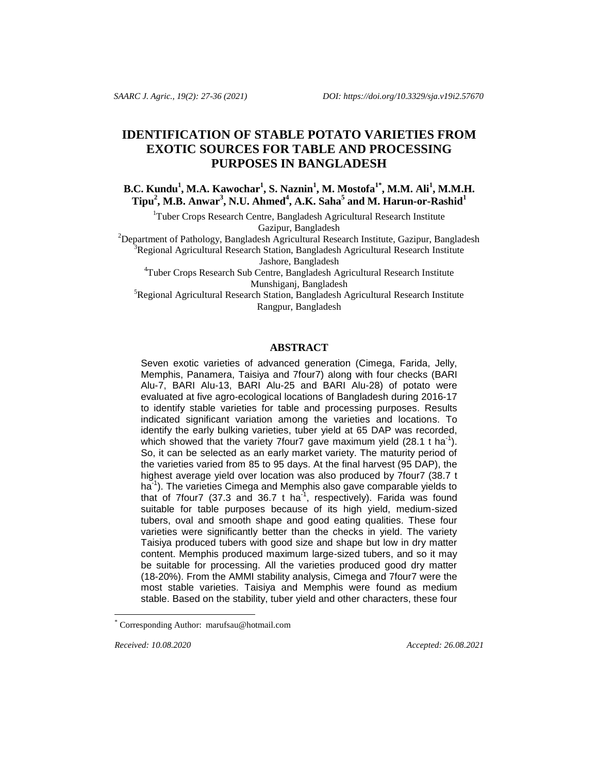# **IDENTIFICATION OF STABLE POTATO VARIETIES FROM EXOTIC SOURCES FOR TABLE AND PROCESSING PURPOSES IN BANGLADESH**

**B.C. Kundu<sup>1</sup> , M.A. Kawochar<sup>1</sup> , S. Naznin<sup>1</sup> , M. Mostofa1\* , M.M. Ali<sup>1</sup> , M.M.H. Tipu<sup>2</sup> , M.B. Anwar<sup>3</sup> , N.U. Ahmed<sup>4</sup> , A.K. Saha<sup>5</sup> and M. Harun-or-Rashid<sup>1</sup>**

<sup>1</sup>Tuber Crops Research Centre, Bangladesh Agricultural Research Institute Gazipur, Bangladesh

<sup>2</sup>Department of Pathology, Bangladesh Agricultural Research Institute, Gazipur, Bangladesh  $3R$ egional Agricultural Research Station, Bangladesh Agricultural Research Institute Jashore, Bangladesh

<sup>4</sup>Tuber Crops Research Sub Centre, Bangladesh Agricultural Research Institute Munshiganj, Bangladesh

<sup>5</sup>Regional Agricultural Research Station, Bangladesh Agricultural Research Institute Rangpur, Bangladesh

# **ABSTRACT**

Seven exotic varieties of advanced generation (Cimega, Farida, Jelly, Memphis, Panamera, Taisiya and 7four7) along with four checks (BARI Alu-7, BARI Alu-13, BARI Alu-25 and BARI Alu-28) of potato were evaluated at five agro-ecological locations of Bangladesh during 2016-17 to identify stable varieties for table and processing purposes. Results indicated significant variation among the varieties and locations. To identify the early bulking varieties, tuber yield at 65 DAP was recorded, which showed that the variety 7 four 7 gave maximum yield (28.1 t ha<sup>-1</sup>). So, it can be selected as an early market variety. The maturity period of the varieties varied from 85 to 95 days. At the final harvest (95 DAP), the highest average yield over location was also produced by 7four7 (38.7 t ha<sup>-1</sup>). The varieties Cimega and Memphis also gave comparable yields to that of 7four7 (37.3 and 36.7 t ha<sup>-1</sup>, respectively). Farida was found suitable for table purposes because of its high yield, medium-sized tubers, oval and smooth shape and good eating qualities. These four varieties were significantly better than the checks in yield. The variety Taisiya produced tubers with good size and shape but low in dry matter content. Memphis produced maximum large-sized tubers, and so it may be suitable for processing. All the varieties produced good dry matter (18-20%). From the AMMI stability analysis, Cimega and 7four7 were the most stable varieties. Taisiya and Memphis were found as medium stable. Based on the stability, tuber yield and other characters, these four

l

*Received: 10.08.2020 Accepted: 26.08.2021*

Corresponding Author: marufsau@hotmail.com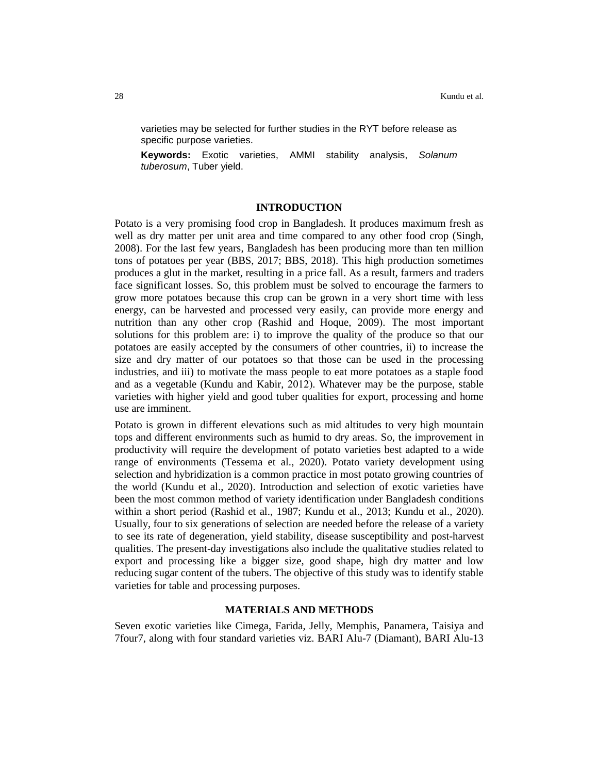varieties may be selected for further studies in the RYT before release as specific purpose varieties.

**Keywords:** Exotic varieties, AMMI stability analysis, *Solanum tuberosum*, Tuber yield.

# **INTRODUCTION**

Potato is a very promising food crop in Bangladesh. It produces maximum fresh as well as dry matter per unit area and time compared to any other food crop (Singh, 2008). For the last few years, Bangladesh has been producing more than ten million tons of potatoes per year (BBS, 2017; BBS, 2018). This high production sometimes produces a glut in the market, resulting in a price fall. As a result, farmers and traders face significant losses. So, this problem must be solved to encourage the farmers to grow more potatoes because this crop can be grown in a very short time with less energy, can be harvested and processed very easily, can provide more energy and nutrition than any other crop (Rashid and Hoque, 2009). The most important solutions for this problem are: i) to improve the quality of the produce so that our potatoes are easily accepted by the consumers of other countries, ii) to increase the size and dry matter of our potatoes so that those can be used in the processing industries, and iii) to motivate the mass people to eat more potatoes as a staple food and as a vegetable (Kundu and Kabir, 2012). Whatever may be the purpose, stable varieties with higher yield and good tuber qualities for export, processing and home use are imminent.

Potato is grown in different elevations such as mid altitudes to very high mountain tops and different environments such as humid to dry areas. So, the improvement in productivity will require the development of potato varieties best adapted to a wide range of environments (Tessema et al., 2020). Potato variety development using selection and hybridization is a common practice in most potato growing countries of the world (Kundu et al., 2020). Introduction and selection of exotic varieties have been the most common method of variety identification under Bangladesh conditions within a short period (Rashid et al., 1987; Kundu et al., 2013; Kundu et al., 2020). Usually, four to six generations of selection are needed before the release of a variety to see its rate of degeneration, yield stability, disease susceptibility and post-harvest qualities. The present-day investigations also include the qualitative studies related to export and processing like a bigger size, good shape, high dry matter and low reducing sugar content of the tubers. The objective of this study was to identify stable varieties for table and processing purposes.

## **MATERIALS AND METHODS**

Seven exotic varieties like Cimega, Farida, Jelly, Memphis, Panamera, Taisiya and 7four7, along with four standard varieties viz. BARI Alu-7 (Diamant), BARI Alu-13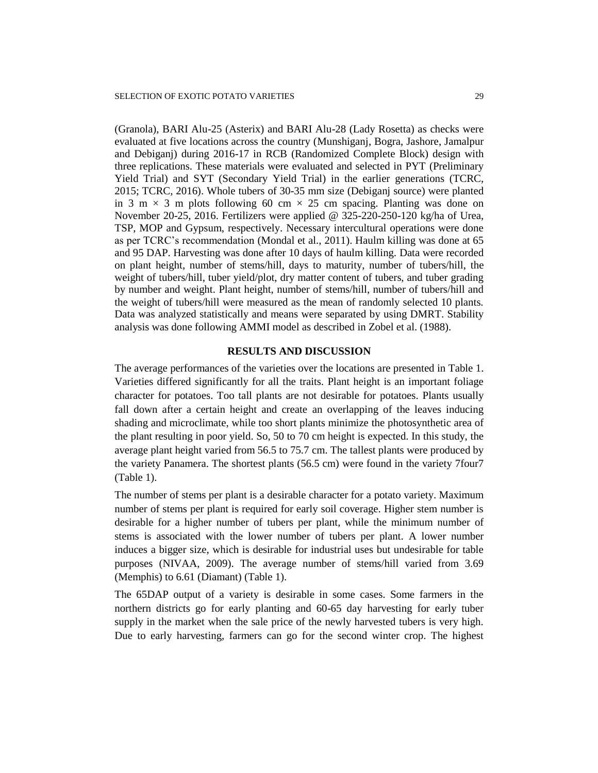(Granola), BARI Alu-25 (Asterix) and BARI Alu-28 (Lady Rosetta) as checks were evaluated at five locations across the country (Munshiganj, Bogra, Jashore, Jamalpur and Debiganj) during 2016-17 in RCB (Randomized Complete Block) design with three replications. These materials were evaluated and selected in PYT (Preliminary Yield Trial) and SYT (Secondary Yield Trial) in the earlier generations (TCRC, 2015; TCRC, 2016). Whole tubers of 30-35 mm size (Debiganj source) were planted in 3 m  $\times$  3 m plots following 60 cm  $\times$  25 cm spacing. Planting was done on November 20-25, 2016. Fertilizers were applied @ 325-220-250-120 kg/ha of Urea, TSP, MOP and Gypsum, respectively. Necessary intercultural operations were done as per TCRC's recommendation (Mondal et al., 2011). Haulm killing was done at 65 and 95 DAP. Harvesting was done after 10 days of haulm killing. Data were recorded on plant height, number of stems/hill, days to maturity, number of tubers/hill, the weight of tubers/hill, tuber yield/plot, dry matter content of tubers, and tuber grading by number and weight. Plant height, number of stems/hill, number of tubers/hill and the weight of tubers/hill were measured as the mean of randomly selected 10 plants. Data was analyzed statistically and means were separated by using DMRT. Stability analysis was done following AMMI model as described in Zobel et al. (1988).

#### **RESULTS AND DISCUSSION**

The average performances of the varieties over the locations are presented in Table 1. Varieties differed significantly for all the traits. Plant height is an important foliage character for potatoes. Too tall plants are not desirable for potatoes. Plants usually fall down after a certain height and create an overlapping of the leaves inducing shading and microclimate, while too short plants minimize the photosynthetic area of the plant resulting in poor yield. So, 50 to 70 cm height is expected. In this study, the average plant height varied from 56.5 to 75.7 cm. The tallest plants were produced by the variety Panamera. The shortest plants (56.5 cm) were found in the variety 7four7 (Table 1).

The number of stems per plant is a desirable character for a potato variety. Maximum number of stems per plant is required for early soil coverage. Higher stem number is desirable for a higher number of tubers per plant, while the minimum number of stems is associated with the lower number of tubers per plant. A lower number induces a bigger size, which is desirable for industrial uses but undesirable for table purposes (NIVAA, 2009). The average number of stems/hill varied from 3.69 (Memphis) to 6.61 (Diamant) (Table 1).

The 65DAP output of a variety is desirable in some cases. Some farmers in the northern districts go for early planting and 60-65 day harvesting for early tuber supply in the market when the sale price of the newly harvested tubers is very high. Due to early harvesting, farmers can go for the second winter crop. The highest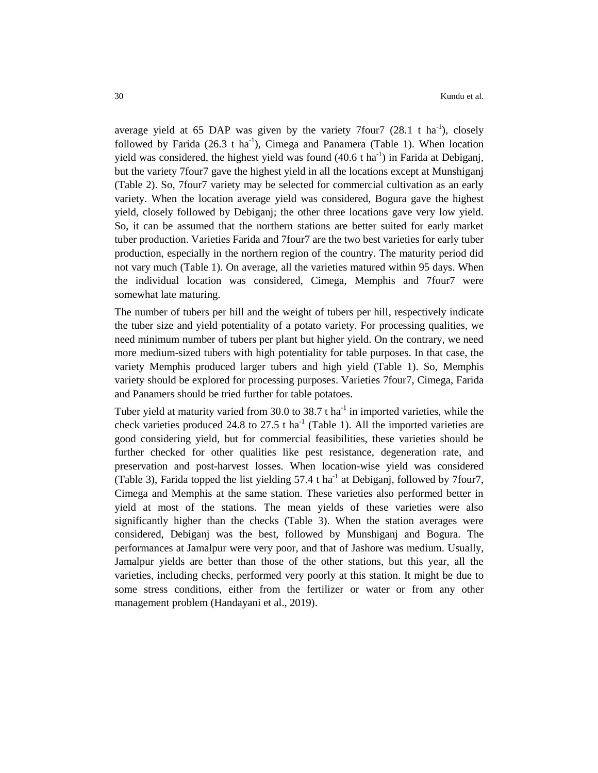average yield at 65 DAP was given by the variety 7four  $7(28.1 \text{ t} \text{ ha}^{-1})$ , closely followed by Farida  $(26.3 \text{ t} \text{ ha}^{-1})$ , Cimega and Panamera (Table 1). When location yield was considered, the highest yield was found  $(40.6 \text{ t} \text{ ha}^{-1})$  in Farida at Debiganj, but the variety 7four7 gave the highest yield in all the locations except at Munshiganj (Table 2). So, 7four7 variety may be selected for commercial cultivation as an early variety. When the location average yield was considered, Bogura gave the highest yield, closely followed by Debiganj; the other three locations gave very low yield. So, it can be assumed that the northern stations are better suited for early market tuber production. Varieties Farida and 7four7 are the two best varieties for early tuber production, especially in the northern region of the country. The maturity period did not vary much (Table 1). On average, all the varieties matured within 95 days. When the individual location was considered, Cimega, Memphis and 7four7 were somewhat late maturing.

The number of tubers per hill and the weight of tubers per hill, respectively indicate the tuber size and yield potentiality of a potato variety. For processing qualities, we need minimum number of tubers per plant but higher yield. On the contrary, we need more medium-sized tubers with high potentiality for table purposes. In that case, the variety Memphis produced larger tubers and high yield (Table 1). So, Memphis variety should be explored for processing purposes. Varieties 7four7, Cimega, Farida and Panamers should be tried further for table potatoes.

Tuber yield at maturity varied from 30.0 to 38.7 t ha<sup>-1</sup> in imported varieties, while the check varieties produced 24.8 to 27.5 t ha<sup>-1</sup> (Table 1). All the imported varieties are good considering yield, but for commercial feasibilities, these varieties should be further checked for other qualities like pest resistance, degeneration rate, and preservation and post-harvest losses. When location-wise yield was considered (Table 3), Farida topped the list yielding  $57.4$  t ha<sup>-1</sup> at Debiganj, followed by 7four7, Cimega and Memphis at the same station. These varieties also performed better in yield at most of the stations. The mean yields of these varieties were also significantly higher than the checks (Table 3). When the station averages were considered, Debiganj was the best, followed by Munshiganj and Bogura. The performances at Jamalpur were very poor, and that of Jashore was medium. Usually, Jamalpur yields are better than those of the other stations, but this year, all the varieties, including checks, performed very poorly at this station. It might be due to some stress conditions, either from the fertilizer or water or from any other management problem (Handayani et al., 2019).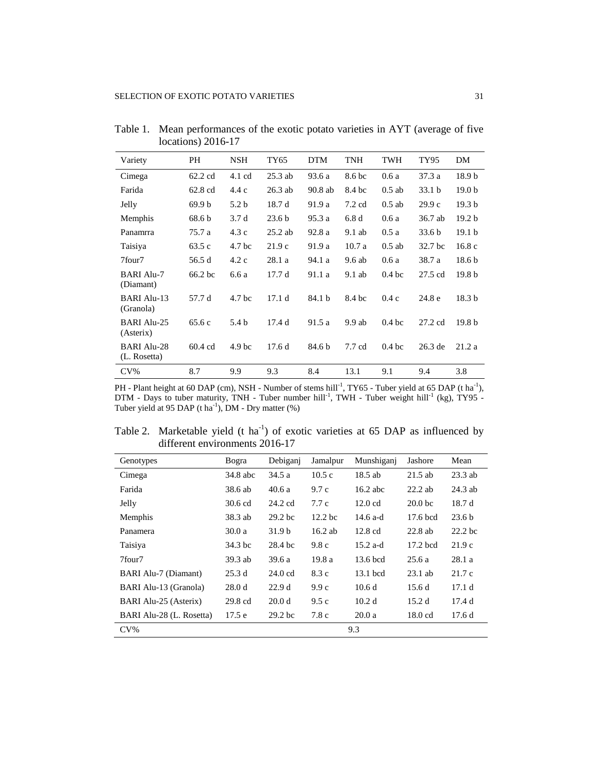| Variety                            | PH                | <b>NSH</b>        | TY65              | <b>DTM</b> | TNH              | TWH               | TY95              | DM                |
|------------------------------------|-------------------|-------------------|-------------------|------------|------------------|-------------------|-------------------|-------------------|
| Cimega                             | $62.2 \text{ cd}$ | 4.1 cd            | $25.3$ ab         | 93.6 a     | 8.6 bc           | 0.6a              | 37.3 a            | 18.9 <sub>b</sub> |
| Farida                             | 62.8 cd           | 4.4 c             | $26.3$ ab         | 90.8 ab    | 8.4 bc           | $0.5$ ab          | 33.1 <sub>b</sub> | 19.0 <sub>b</sub> |
| Jelly                              | 69.9 b            | 5.2 b             | 18.7 d            | 91.9 a     | $7.2 \text{ cd}$ | $0.5$ ab          | 29.9c             | 19.3 <sub>b</sub> |
| <b>Memphis</b>                     | 68.6 b            | 3.7d              | 23.6 <sub>b</sub> | 95.3 a     | 6.8d             | 0.6a              | 36.7 ab           | 19.2 <sub>b</sub> |
| Panamrra                           | 75.7 a            | 4.3c              | $25.2$ ab         | 92.8 a     | 9.1 ab           | 0.5a              | 33.6 <sub>b</sub> | 19.1 <sub>b</sub> |
| Taisiya                            | 63.5 c            | 4.7 bc            | 21.9c             | 91.9 a     | 10.7a            | $0.5$ ab          | 32.7 bc           | 16.8c             |
| 7four7                             | 56.5 d            | 4.2c              | 28.1 a            | 94.1 a     | 9.6 ab           | 0.6a              | 38.7 a            | 18.6 <sub>b</sub> |
| <b>BARI Alu-7</b><br>(Diamant)     | 66.2 bc           | 6.6 a             | 17.7 d            | 91.1 a     | $9.1$ ab         | 0.4 <sub>bc</sub> | 27.5 cd           | 19.8 <sub>b</sub> |
| <b>BARI Alu-13</b><br>(Granola)    | 57.7 d            | 4.7 <sub>bc</sub> | 17.1d             | 84.1 b     | 8.4 bc           | 0.4c              | 24.8 e            | 18.3 <sub>b</sub> |
| <b>BARI Alu-25</b><br>(Asterix)    | 65.6 c            | 5.4 b             | 17.4d             | 91.5 a     | 9.9ab            | 0.4 <sub>bc</sub> | $27.2 \text{ cd}$ | 19.8 <sub>b</sub> |
| <b>BARI Alu-28</b><br>(L. Rosetta) | 60.4 cd           | 4.9 <sub>bc</sub> | 17.6d             | 84.6 b     | 7.7 cd           | 0.4 <sub>bc</sub> | $26.3$ de         | 21.2a             |
| $CV\%$                             | 8.7               | 9.9               | 9.3               | 8.4        | 13.1             | 9.1               | 9.4               | 3.8               |

Table 1. Mean performances of the exotic potato varieties in AYT (average of five locations) 2016-17

PH - Plant height at 60 DAP (cm), NSH - Number of stems hill<sup>-1</sup>, TY65 - Tuber yield at 65 DAP (t ha<sup>-1</sup>), DTM - Days to tuber maturity, TNH - Tuber number hill<sup>-1</sup>, TWH - Tuber weight hill<sup>-1</sup> (kg), TY95 -Tuber yield at 95 DAP (t ha<sup>-1</sup>), DM - Dry matter  $(\%)$ 

Table 2. Marketable yield (t ha<sup>-1</sup>) of exotic varieties at 65 DAP as influenced by different environments 2016-17

| Genotypes                | Bogra     | Debiganj           | Jamalpur           | Munshiganj        | Jashore            | Mean              |
|--------------------------|-----------|--------------------|--------------------|-------------------|--------------------|-------------------|
| Cimega                   | 34.8 abc  | 34.5 a             | 10.5c              | $18.5$ ab         | $21.5$ ab          | $23.3$ ab         |
| Farida                   | 38.6 ab   | 40.6 a             | 9.7c               | $16.2$ abc        | $22.2$ ab          | $24.3$ ab         |
| Jelly                    | 30.6 cd   | 24.2 cd            | 7.7c               | $12.0 \text{ cd}$ | 20.0 <sub>bc</sub> | 18.7 d            |
| Memphis                  | 38.3 ab   | $29.2$ bc          | 12.2 <sub>bc</sub> | $14.6$ a-d        | 17.6 bcd           | 23.6 <sub>b</sub> |
| Panamera                 | 30.0a     | 31.9 b             | $16.2$ ab          | $12.8 \text{ cd}$ | $22.8$ ab          | $22.2$ bc         |
| Taisiya                  | 34.3 bc   | 28.4 bc            | 9.8c               | $15.2$ a-d        | $17.2$ bcd         | 21.9c             |
| 7four7                   | $39.3$ ab | 39.6 a             | 19.8 a             | $13.6$ bcd        | 25.6a              | 28.1 a            |
| BARI Alu-7 (Diamant)     | 25.3d     | $24.0 \text{ cd}$  | 8.3 c              | 13.1 bcd          | $23.1$ ab          | 21.7 c            |
| BARI Alu-13 (Granola)    | 28.0 d    | 22.9d              | 9.9c               | 10.6d             | 15.6d              | 17.1d             |
| BARI Alu-25 (Asterix)    | 29.8 cd   | 20.0 <sub>d</sub>  | 9.5c               | 10.2 <sub>d</sub> | 15.2d              | 17.4d             |
| BARI Alu-28 (L. Rosetta) | 17.5e     | 29.2 <sub>bc</sub> | 7.8 c              | 20.0a             | $18.0 \text{ cd}$  | 17.6d             |
| $CV\%$                   |           |                    |                    | 9.3               |                    |                   |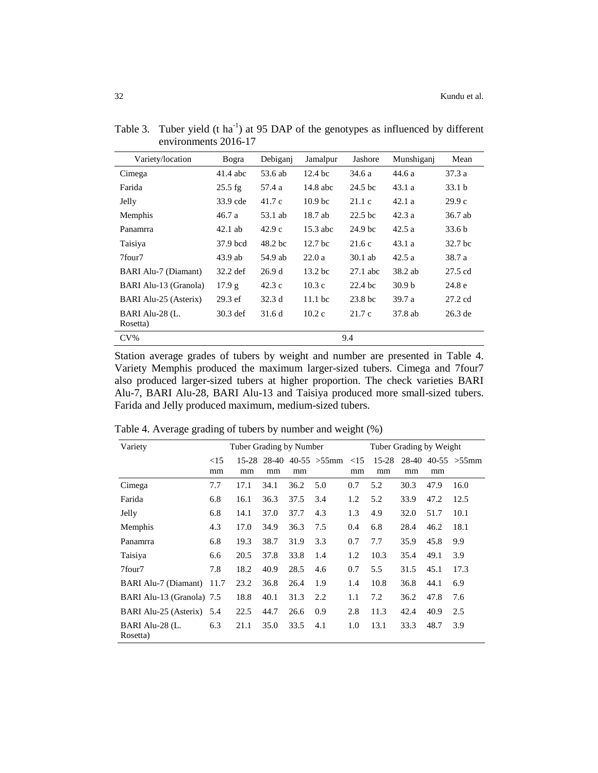| Variety/location            | Bogra      | Debiganj | Jamalpur           | Jashore            | Munshiganj        | Mean      |
|-----------------------------|------------|----------|--------------------|--------------------|-------------------|-----------|
| Cimega                      | 41.4 abc   | 53.6 ab  | 12.4 <sub>bc</sub> | 34.6 a             | 44.6 a            | 37.3 a    |
| Farida                      | $25.5$ fg  | 57.4 a   | $14.8$ abc         | 24.5 <sub>bc</sub> | 43.1a             | 33.1 b    |
| Jelly                       | 33.9 cde   | 41.7c    | 10.9 <sub>bc</sub> | 21.1c              | 42.1a             | 29.9c     |
| Memphis                     | 46.7 a     | 53.1 ab  | 18.7 ab            | 22.5 <sub>bc</sub> | 42.3a             | 36.7 ab   |
| Panamrra                    | $42.1$ ab  | 42.9c    | 15.3 abc           | 24.9 bc            | 42.5a             | 33.6 b    |
| Taisiya                     | 37.9 bcd   | 48.2 bc  | 12.7 <sub>bc</sub> | 21.6c              | 43.1 a            | 32.7 bc   |
| 7four7                      | $43.9$ ab  | 54.9 ab  | 22.0a              | $30.1$ ab          | 42.5a             | 38.7 a    |
| <b>BARI Alu-7 (Diamant)</b> | $32.2$ def | 26.9d    | 13.2 bc            | $27.1$ abc         | 38.2 ab           | 27.5 cd   |
| BARI Alu-13 (Granola)       | 17.9 g     | 42.3c    | 10.3c              | $22.4$ bc          | 30.9 <sub>b</sub> | 24.8 e    |
| BARI Alu-25 (Asterix)       | $29.3$ ef  | 32.3d    | $11.1$ bc          | 23.8 <sub>bc</sub> | 39.7 a            | 27.2 cd   |
| BARI Alu-28 (L.<br>Rosetta) | $30.3$ def | 31.6 d   | 10.2c              | 21.7 c             | 37.8 ab           | $26.3$ de |
| $CV\%$                      |            |          |                    | 9.4                |                   |           |
|                             |            |          |                    |                    |                   |           |

Table 3. Tuber yield (t ha<sup>-1</sup>) at 95 DAP of the genotypes as influenced by different environments 2016-17

Station average grades of tubers by weight and number are presented in Table 4. Variety Memphis produced the maximum larger-sized tubers. Cimega and 7four7 also produced larger-sized tubers at higher proportion. The check varieties BARI Alu-7, BARI Alu-28, BARI Alu-13 and Taisiya produced more small-sized tubers. Farida and Jelly produced maximum, medium-sized tubers.

| Variety                     | Tuber Grading by Number |               |             |      |                        | Tuber Grading by Weight |                 |      |      |                        |
|-----------------------------|-------------------------|---------------|-------------|------|------------------------|-------------------------|-----------------|------|------|------------------------|
|                             | <15<br>mm               | $15-28$<br>mm | 28-40<br>mm | mm   | $40-55 > 55$ mm $< 15$ | mm                      | $15 - 28$<br>mm | mm   | mm   | $28-40$ 40-55 $>55$ mm |
| Cimega                      | 7.7                     | 17.1          | 34.1        | 36.2 | 5.0                    | 0.7                     | 5.2             | 30.3 | 47.9 | 16.0                   |
| Farida                      | 6.8                     | 16.1          | 36.3        | 37.5 | 3.4                    | 1.2                     | 5.2             | 33.9 | 47.2 | 12.5                   |
| Jelly                       | 6.8                     | 14.1          | 37.0        | 37.7 | 4.3                    | 1.3                     | 4.9             | 32.0 | 51.7 | 10.1                   |
| Memphis                     | 4.3                     | 17.0          | 34.9        | 36.3 | 7.5                    | 0.4                     | 6.8             | 28.4 | 46.2 | 18.1                   |
| Panamrra                    | 6.8                     | 19.3          | 38.7        | 31.9 | 3.3                    | 0.7                     | 7.7             | 35.9 | 45.8 | 9.9                    |
| Taisiya                     | 6.6                     | 20.5          | 37.8        | 33.8 | 1.4                    | 1.2                     | 10.3            | 35.4 | 49.1 | 3.9                    |
| 7four7                      | 7.8                     | 18.2          | 40.9        | 28.5 | 4.6                    | 0.7                     | 5.5             | 31.5 | 45.1 | 17.3                   |
| BARI Alu-7 (Diamant)        | 11.7                    | 23.2          | 36.8        | 26.4 | 1.9                    | 1.4                     | 10.8            | 36.8 | 44.1 | 6.9                    |
| BARI Alu-13 (Granola) 7.5   |                         | 18.8          | 40.1        | 31.3 | 2.2                    | 1.1                     | 7.2             | 36.2 | 47.8 | 7.6                    |
| BARI Alu-25 (Asterix) 5.4   |                         | 22.5          | 44.7        | 26.6 | 0.9                    | 2.8                     | 11.3            | 42.4 | 40.9 | 2.5                    |
| BARI Alu-28 (L.<br>Rosetta) | 6.3                     | 21.1          | 35.0        | 33.5 | 4.1                    | 1.0                     | 13.1            | 33.3 | 48.7 | 3.9                    |

Table 4. Average grading of tubers by number and weight (%)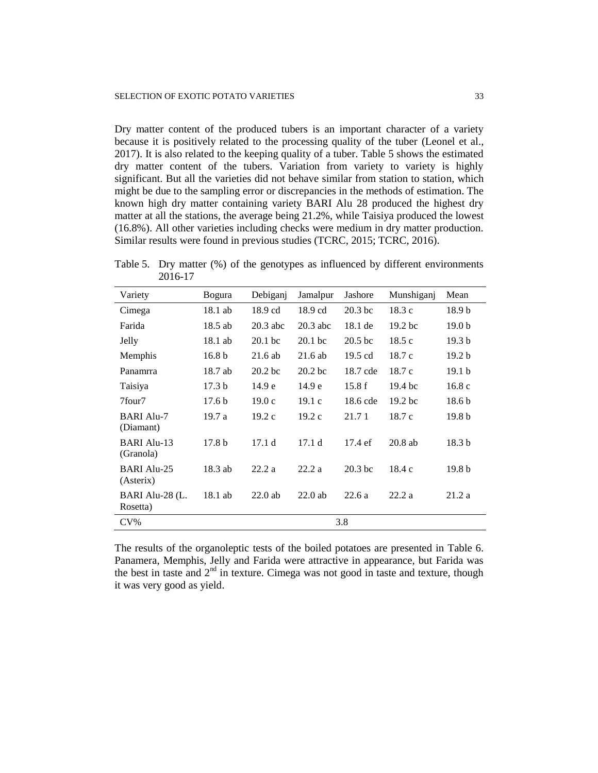Dry matter content of the produced tubers is an important character of a variety because it is positively related to the processing quality of the tuber (Leonel et al., 2017). It is also related to the keeping quality of a tuber. Table 5 shows the estimated dry matter content of the tubers. Variation from variety to variety is highly significant. But all the varieties did not behave similar from station to station, which might be due to the sampling error or discrepancies in the methods of estimation. The known high dry matter containing variety BARI Alu 28 produced the highest dry matter at all the stations, the average being 21.2%, while Taisiya produced the lowest (16.8%). All other varieties including checks were medium in dry matter production. Similar results were found in previous studies (TCRC, 2015; TCRC, 2016).

Table 5. Dry matter (%) of the genotypes as influenced by different environments 2016-17

| Variety                        | <b>Bogura</b>     | Debiganj           | Jamalpur           | Jashore            | Munshiganj         | Mean              |
|--------------------------------|-------------------|--------------------|--------------------|--------------------|--------------------|-------------------|
| Cimega                         | 18.1 ab           | $18.9 \text{ cd}$  | 18.9 cd            | $20.3$ bc          | 18.3c              | 18.9 b            |
| Farida                         | 18.5 ab           | $20.3$ abc         | $20.3$ abc         | 18.1 de            | 19.2 <sub>bc</sub> | 19.0 <sub>b</sub> |
| Jelly                          | 18.1 ab           | 20.1 <sub>bc</sub> | $20.1$ bc          | 20.5 <sub>bc</sub> | 18.5c              | 19.3 <sub>b</sub> |
| Memphis                        | 16.8 <sub>b</sub> | $21.6$ ab          | $21.6$ ab          | $19.5 \text{ cd}$  | 18.7c              | 19.2 <sub>b</sub> |
| Panamrra                       | 18.7 ab           | 20.2 <sub>bc</sub> | 20.2 <sub>bc</sub> | 18.7 cde           | 18.7c              | 19.1 <sub>b</sub> |
| Taisiya                        | 17.3 <sub>b</sub> | 14.9 <sub>e</sub>  | 14.9 e             | 15.8f              | 19.4 <sub>bc</sub> | 16.8c             |
| 7four7                         | 17.6 <sub>b</sub> | 19.0c              | 19.1c              | 18.6 cde           | 19.2 <sub>bc</sub> | 18.6 <sub>b</sub> |
| <b>BARI Alu-7</b><br>(Diamant) | 19.7 a            | 19.2c              | 19.2c              | 21.71              | 18.7c              | 19.8 b            |
| BARI Alu-13<br>(Granola)       | 17.8 <sub>b</sub> | 17.1d              | 17.1d              | $17.4 \text{ ef}$  | $20.8$ ab          | 18.3 <sub>b</sub> |
| BARI Alu-25<br>(Asterix)       | 18.3 ab           | 22.2a              | 22.2a              | $20.3$ bc          | 18.4c              | 19.8 <sub>b</sub> |
| BARI Alu-28 (L.<br>Rosetta)    | 18.1 ab           | $22.0$ ab          | $22.0$ ab          | 22.6a              | 22.2a              | 21.2a             |
| $CV\%$                         |                   |                    |                    | 3.8                |                    |                   |

The results of the organoleptic tests of the boiled potatoes are presented in Table 6. Panamera, Memphis, Jelly and Farida were attractive in appearance, but Farida was the best in taste and  $2<sup>nd</sup>$  in texture. Cimega was not good in taste and texture, though it was very good as yield.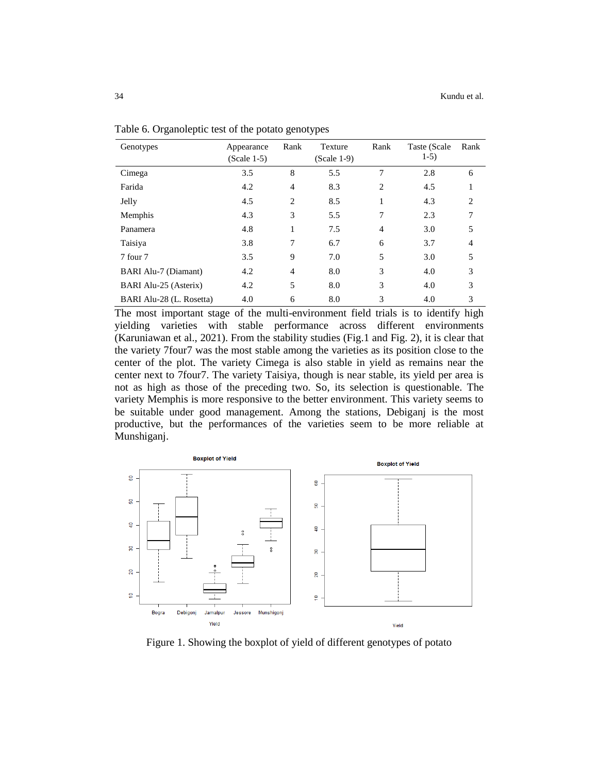| Genotypes                | Appearance<br>$(Scale 1-5)$ | Rank           | Texture<br>$(Scale 1-9)$ | Rank           | Taste (Scale<br>$1-5)$ | Rank           |
|--------------------------|-----------------------------|----------------|--------------------------|----------------|------------------------|----------------|
| Cimega                   | 3.5                         | 8              | 5.5                      | 7              | 2.8                    | 6              |
| Farida                   | 4.2                         | $\overline{4}$ | 8.3                      | 2              | 4.5                    |                |
| Jelly                    | 4.5                         | $\overline{c}$ | 8.5                      |                | 4.3                    | $\overline{c}$ |
| Memphis                  | 4.3                         | 3              | 5.5                      | 7              | 2.3                    | 7              |
| Panamera                 | 4.8                         | 1              | 7.5                      | $\overline{4}$ | 3.0                    | 5              |
| Taisiya                  | 3.8                         | 7              | 6.7                      | 6              | 3.7                    | 4              |
| 7 four 7                 | 3.5                         | 9              | 7.0                      | 5              | 3.0                    | 5              |
| BARI Alu-7 (Diamant)     | 4.2                         | $\overline{4}$ | 8.0                      | 3              | 4.0                    | 3              |
| BARI Alu-25 (Asterix)    | 4.2                         | 5              | 8.0                      | 3              | 4.0                    | 3              |
| BARI Alu-28 (L. Rosetta) | 4.0                         | 6              | 8.0                      | 3              | 4.0                    | 3              |

Table 6. Organoleptic test of the potato genotypes

The most important stage of the multi-environment field trials is to identify high yielding varieties with stable performance across different environments (Karuniawan et al., 2021). From the stability studies (Fig.1 and Fig. 2), it is clear that the variety 7four7 was the most stable among the varieties as its position close to the center of the plot. The variety Cimega is also stable in yield as remains near the center next to 7four7. The variety Taisiya, though is near stable, its yield per area is not as high as those of the preceding two. So, its selection is questionable. The variety Memphis is more responsive to the better environment. This variety seems to be suitable under good management. Among the stations, Debiganj is the most productive, but the performances of the varieties seem to be more reliable at Munshiganj.



Figure 1. Showing the boxplot of yield of different genotypes of potato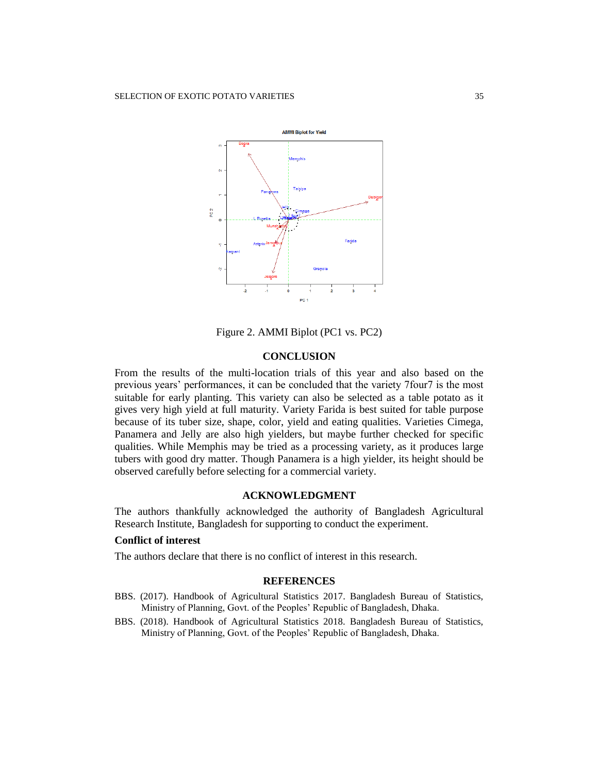

Figure 2. AMMI Biplot (PC1 vs. PC2)

# **CONCLUSION**

From the results of the multi-location trials of this year and also based on the previous years' performances, it can be concluded that the variety 7four7 is the most suitable for early planting. This variety can also be selected as a table potato as it gives very high yield at full maturity. Variety Farida is best suited for table purpose because of its tuber size, shape, color, yield and eating qualities. Varieties Cimega, Panamera and Jelly are also high yielders, but maybe further checked for specific qualities. While Memphis may be tried as a processing variety, as it produces large tubers with good dry matter. Though Panamera is a high yielder, its height should be observed carefully before selecting for a commercial variety.

# **ACKNOWLEDGMENT**

The authors thankfully acknowledged the authority of Bangladesh Agricultural Research Institute, Bangladesh for supporting to conduct the experiment.

#### **Conflict of interest**

The authors declare that there is no conflict of interest in this research.

#### **REFERENCES**

- BBS. (2017). Handbook of Agricultural Statistics 2017. Bangladesh Bureau of Statistics, Ministry of Planning, Govt. of the Peoples' Republic of Bangladesh, Dhaka.
- BBS. (2018). Handbook of Agricultural Statistics 2018. Bangladesh Bureau of Statistics, Ministry of Planning, Govt. of the Peoples' Republic of Bangladesh, Dhaka.